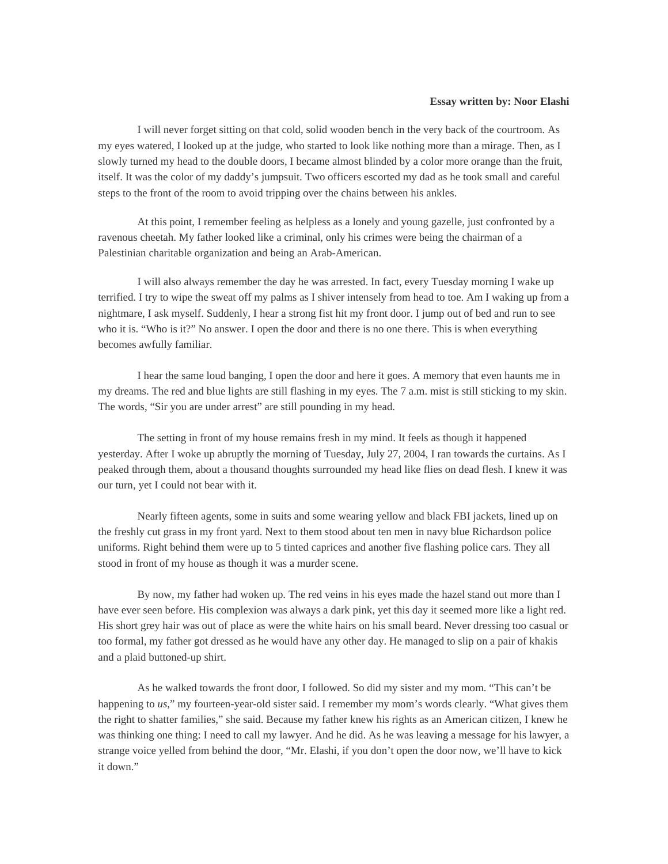I will never forget sitting on that cold, solid wooden bench in the very back of the courtroom. As my eyes watered, I looked up at the judge, who started to look like nothing more than a mirage. Then, as I slowly turned my head to the double doors, I became almost blinded by a color more orange than the fruit, itself. It was the color of my daddy's jumpsuit. Two officers escorted my dad as he took small and careful steps to the front of the room to avoid tripping over the chains between his ankles.

At this point, I remember feeling as helpless as a lonely and young gazelle, just confronted by a ravenous cheetah. My father looked like a criminal, only his crimes were being the chairman of a Palestinian charitable organization and being an Arab-American.

I will also always remember the day he was arrested. In fact, every Tuesday morning I wake up terrified. I try to wipe the sweat off my palms as I shiver intensely from head to toe. Am I waking up from a nightmare, I ask myself. Suddenly, I hear a strong fist hit my front door. I jump out of bed and run to see who it is. "Who is it?" No answer. I open the door and there is no one there. This is when everything becomes awfully familiar.

I hear the same loud banging, I open the door and here it goes. A memory that even haunts me in my dreams. The red and blue lights are still flashing in my eyes. The 7 a.m. mist is still sticking to my skin. The words, "Sir you are under arrest" are still pounding in my head.

The setting in front of my house remains fresh in my mind. It feels as though it happened yesterday. After I woke up abruptly the morning of Tuesday, July 27, 2004, I ran towards the curtains. As I peaked through them, about a thousand thoughts surrounded my head like flies on dead flesh. I knew it was our turn, yet I could not bear with it.

Nearly fifteen agents, some in suits and some wearing yellow and black FBI jackets, lined up on the freshly cut grass in my front yard. Next to them stood about ten men in navy blue Richardson police uniforms. Right behind them were up to 5 tinted caprices and another five flashing police cars. They all stood in front of my house as though it was a murder scene.

By now, my father had woken up. The red veins in his eyes made the hazel stand out more than I have ever seen before. His complexion was always a dark pink, yet this day it seemed more like a light red. His short grey hair was out of place as were the white hairs on his small beard. Never dressing too casual or too formal, my father got dressed as he would have any other day. He managed to slip on a pair of khakis and a plaid buttoned-up shirt.

As he walked towards the front door, I followed. So did my sister and my mom. "This can't be happening to *us*," my fourteen-year-old sister said. I remember my mom's words clearly. "What gives them the right to shatter families," she said. Because my father knew his rights as an American citizen, I knew he was thinking one thing: I need to call my lawyer. And he did. As he was leaving a message for his lawyer, a strange voice yelled from behind the door, "Mr. Elashi, if you don't open the door now, we'll have to kick it down."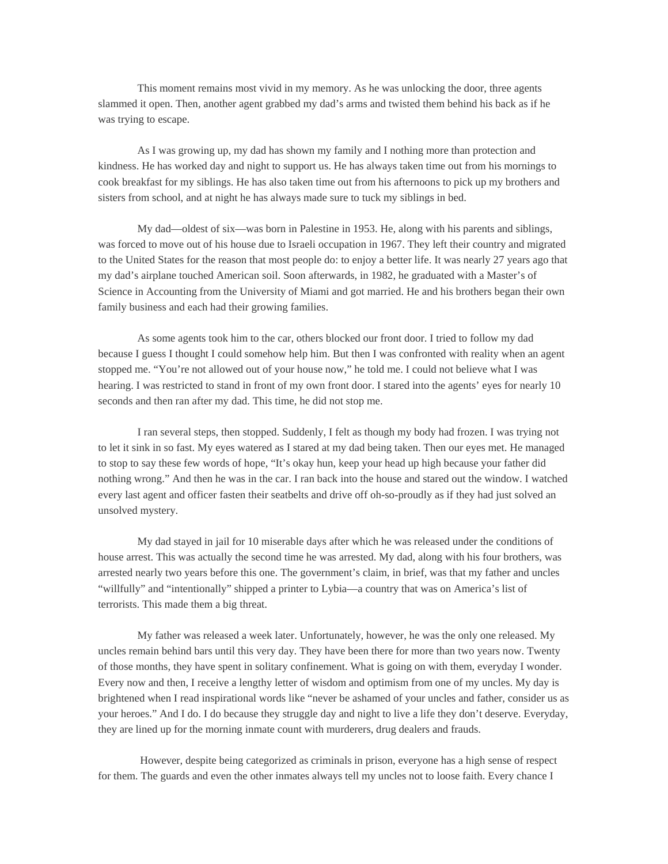This moment remains most vivid in my memory. As he was unlocking the door, three agents slammed it open. Then, another agent grabbed my dad's arms and twisted them behind his back as if he was trying to escape.

As I was growing up, my dad has shown my family and I nothing more than protection and kindness. He has worked day and night to support us. He has always taken time out from his mornings to cook breakfast for my siblings. He has also taken time out from his afternoons to pick up my brothers and sisters from school, and at night he has always made sure to tuck my siblings in bed.

My dad—oldest of six—was born in Palestine in 1953. He, along with his parents and siblings, was forced to move out of his house due to Israeli occupation in 1967. They left their country and migrated to the United States for the reason that most people do: to enjoy a better life. It was nearly 27 years ago that my dad's airplane touched American soil. Soon afterwards, in 1982, he graduated with a Master's of Science in Accounting from the University of Miami and got married. He and his brothers began their own family business and each had their growing families.

As some agents took him to the car, others blocked our front door. I tried to follow my dad because I guess I thought I could somehow help him. But then I was confronted with reality when an agent stopped me. "You're not allowed out of your house now," he told me. I could not believe what I was hearing. I was restricted to stand in front of my own front door. I stared into the agents' eyes for nearly 10 seconds and then ran after my dad. This time, he did not stop me.

I ran several steps, then stopped. Suddenly, I felt as though my body had frozen. I was trying not to let it sink in so fast. My eyes watered as I stared at my dad being taken. Then our eyes met. He managed to stop to say these few words of hope, "It's okay hun, keep your head up high because your father did nothing wrong." And then he was in the car. I ran back into the house and stared out the window. I watched every last agent and officer fasten their seatbelts and drive off oh-so-proudly as if they had just solved an unsolved mystery.

My dad stayed in jail for 10 miserable days after which he was released under the conditions of house arrest. This was actually the second time he was arrested. My dad, along with his four brothers, was arrested nearly two years before this one. The government's claim, in brief, was that my father and uncles "willfully" and "intentionally" shipped a printer to Lybia—a country that was on America's list of terrorists. This made them a big threat.

My father was released a week later. Unfortunately, however, he was the only one released. My uncles remain behind bars until this very day. They have been there for more than two years now. Twenty of those months, they have spent in solitary confinement. What is going on with them, everyday I wonder. Every now and then, I receive a lengthy letter of wisdom and optimism from one of my uncles. My day is brightened when I read inspirational words like "never be ashamed of your uncles and father, consider us as your heroes." And I do. I do because they struggle day and night to live a life they don't deserve. Everyday, they are lined up for the morning inmate count with murderers, drug dealers and frauds.

 However, despite being categorized as criminals in prison, everyone has a high sense of respect for them. The guards and even the other inmates always tell my uncles not to loose faith. Every chance I